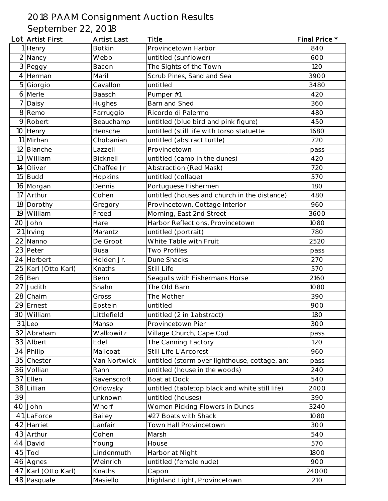## 2018 PAAM Consignment Auction Results

September 22, 2018

|                | Lot Artist First    | <b>Artist Last</b> | <b>Title</b>                                   | Final Price * |
|----------------|---------------------|--------------------|------------------------------------------------|---------------|
|                | 1 Henry             | <b>Botkin</b>      | Provincetown Harbor                            | 840           |
|                | 2 Nancy             | Webb               | untitled (sunflower)                           | 600           |
|                | 3 Peggy             | Bacon              | The Sights of the Town                         | 120           |
|                | 4 Herman            | Maril              | Scrub Pines, Sand and Sea                      | 3900          |
| 5 <sup>1</sup> | Giorgio             | Cavallon           | untitled                                       | 3480          |
|                | 6 Merle             | Baasch             | Pumper #1                                      | 420           |
|                | 7 Daisy             | Hughes             | Barn and Shed                                  | 360           |
|                | 8 Remo              | Farruggio          | Ricordo di Palermo                             | 480           |
|                | 9 Robert            | Beauchamp          | untitled (blue bird and pink figure)           | 450           |
|                | 10 Henry            | Hensche            | untitled (still life with torso statuette      | 1680          |
|                | 11 Mirhan           | Chobanian          | untitled (abstract turtle)                     | 720           |
|                | 12 Blanche          | Lazzell            | Provincetown                                   | pass          |
|                | 13 William          | Bicknell           | untitled (camp in the dunes)                   | 420           |
| 4              | Oliver              | Chaffee Jr         | Abstraction (Red Mask)                         | 720           |
|                | $15$ Budd           | Hopkins            | untitled (collage)                             | 570           |
|                | 16 Morgan           | Dennis             | Portuguese Fishermen                           | <b>180</b>    |
|                | 17 Arthur           | Cohen              | untitled (houses and church in the distance)   | 480           |
|                | 18 Dorothy          | Gregory            | Provincetown, Cottage Interior                 | 960           |
|                | 19 William          | Freed              | Morning, East 2nd Street                       | 3600          |
|                | 20 John             | Hare               | Harbor Reflections, Provincetown               | 1080          |
|                | 21 Irving           | Marantz            | untitled (portrait)                            | 780           |
|                | 22 Nanno            | De Groot           | White Table with Fruit                         | 2520          |
|                | 23 Peter            | <b>Busa</b>        | <b>Two Profiles</b>                            | pass          |
|                | 24 Herbert          | Holden Jr.         | Dune Shacks                                    | 270           |
|                | 25 Karl (Otto Karl) | Knaths             | Still Life                                     | 570           |
|                | $26$ Ben            | Benn               | Seagulls with Fishermans Horse                 | 2160          |
|                | 27 Judith           | Shahn              | The Old Barn                                   | 1080          |
|                | 28 Chaim            | Gross              | The Mother                                     | 390           |
|                | 29 Ernest           | Epstein            | untitled                                       | 900           |
|                | 30 William          | Littlefield        | untitled (2 in 1 abstract)                     | 180           |
|                | 31 Leo              | Manso              | Provincetown Pier                              | 300           |
|                | 32 Abraham          | Walkowitz          | Village Church, Cape Cod                       | pass          |
|                | 33 Albert           | Edel               | The Canning Factory                            | 120           |
|                | 34 Philip           | Malicoat           | Still Life L'Arcorest                          | 960           |
|                | 35 Chester          | Van Nortwick       | untitled (storm over lighthouse, cottage, and  | pass          |
|                | 36 Vollian          | Rann               | untitled (house in the woods)                  | <b>240</b>    |
|                | 37 Ellen            | Ravenscroft        | Boat at Dock                                   | <b>540</b>    |
|                | 38 Lillian          | Orlowsky           | untitled (tabletop black and white still life) | 2400          |
| 39             |                     | unknown            | untitled (houses)                              | 390           |
|                | 40 John             | Whorf              | Women Picking Flowers in Dunes                 | 3240          |
|                | 41 LaForce          | Bailey             | #27 Boats with Shack                           | 1080          |
|                | 42 Harriet          | Lanfair            | Town Hall Provincetown                         | 300           |
|                | 43 Arthur           | Cohen              | Marsh                                          | 540           |
|                | 44 David            | Young              | House                                          | 570           |
|                | $45$ Tod            | Lindenmuth         | Harbor at Night                                | 1800          |
|                | 46 Agnes            | Weinrich           | untitled (female nude)                         | 900           |
|                | 47 Karl (Otto Karl) | Knaths             | Capon                                          | 24000         |
|                | 48 Pasquale         | Masiello           | Highland Light, Provincetown                   | 210           |